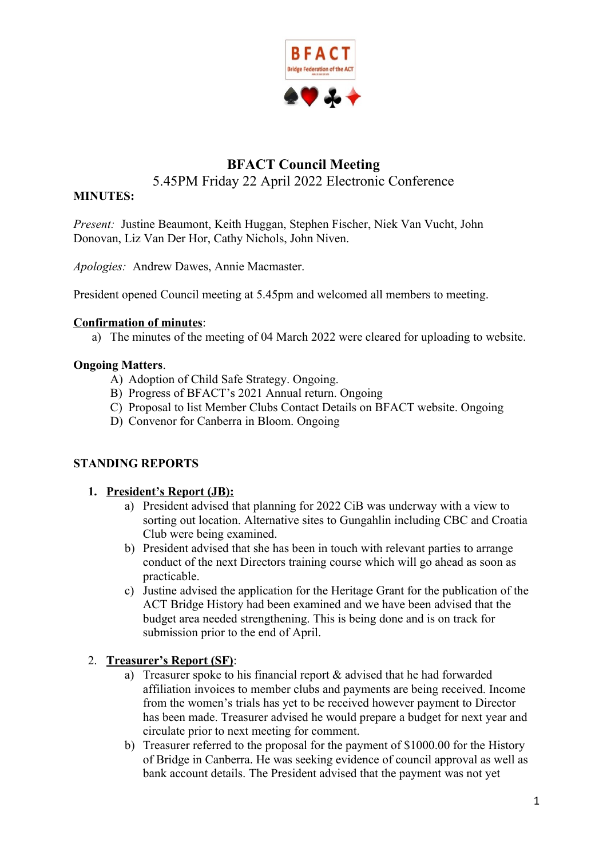

# **BFACT Council Meeting**  5.45PM Friday 22 April 2022 Electronic Conference

### **MINUTES:**

*Present:* Justine Beaumont, Keith Huggan, Stephen Fischer, Niek Van Vucht, John Donovan, Liz Van Der Hor, Cathy Nichols, John Niven.

*Apologies:* Andrew Dawes, Annie Macmaster.

President opened Council meeting at 5.45pm and welcomed all members to meeting.

#### **Confirmation of minutes**:

a) The minutes of the meeting of 04 March 2022 were cleared for uploading to website.

### **Ongoing Matters**.

- A) Adoption of Child Safe Strategy. Ongoing.
- B) Progress of BFACT's 2021 Annual return. Ongoing
- C) Proposal to list Member Clubs Contact Details on BFACT website. Ongoing
- D) Convenor for Canberra in Bloom. Ongoing

# **STANDING REPORTS**

### **1. President's Report (JB):**

- a) President advised that planning for 2022 CiB was underway with a view to sorting out location. Alternative sites to Gungahlin including CBC and Croatia Club were being examined.
- b) President advised that she has been in touch with relevant parties to arrange conduct of the next Directors training course which will go ahead as soon as practicable.
- c) Justine advised the application for the Heritage Grant for the publication of the ACT Bridge History had been examined and we have been advised that the budget area needed strengthening. This is being done and is on track for submission prior to the end of April.

### 2. **Treasurer's Report (SF)**:

- a) Treasurer spoke to his financial report & advised that he had forwarded affiliation invoices to member clubs and payments are being received. Income from the women's trials has yet to be received however payment to Director has been made. Treasurer advised he would prepare a budget for next year and circulate prior to next meeting for comment.
- b) Treasurer referred to the proposal for the payment of \$1000.00 for the History of Bridge in Canberra. He was seeking evidence of council approval as well as bank account details. The President advised that the payment was not yet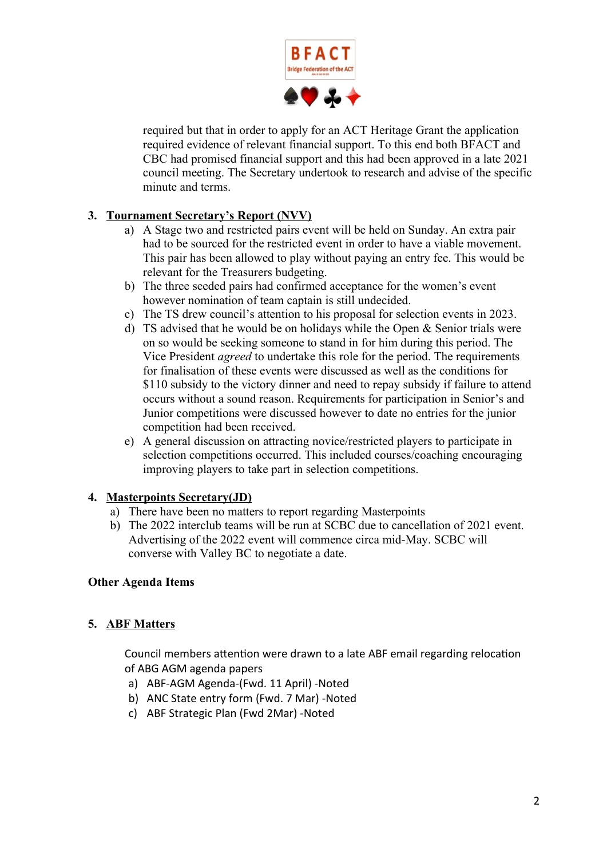

required but that in order to apply for an ACT Heritage Grant the application required evidence of relevant financial support. To this end both BFACT and CBC had promised financial support and this had been approved in a late 2021 council meeting. The Secretary undertook to research and advise of the specific minute and terms.

# **3. Tournament Secretary's Report (NVV)**

- a) A Stage two and restricted pairs event will be held on Sunday. An extra pair had to be sourced for the restricted event in order to have a viable movement. This pair has been allowed to play without paying an entry fee. This would be relevant for the Treasurers budgeting.
- b) The three seeded pairs had confirmed acceptance for the women's event however nomination of team captain is still undecided.
- c) The TS drew council's attention to his proposal for selection events in 2023.
- d) TS advised that he would be on holidays while the Open  $&$  Senior trials were on so would be seeking someone to stand in for him during this period. The Vice President *agreed* to undertake this role for the period. The requirements for finalisation of these events were discussed as well as the conditions for \$110 subsidy to the victory dinner and need to repay subsidy if failure to attend occurs without a sound reason. Requirements for participation in Senior's and Junior competitions were discussed however to date no entries for the junior competition had been received.
- e) A general discussion on attracting novice/restricted players to participate in selection competitions occurred. This included courses/coaching encouraging improving players to take part in selection competitions.

# **4. Masterpoints Secretary(JD)**

- a) There have been no matters to report regarding Masterpoints
- b) The 2022 interclub teams will be run at SCBC due to cancellation of 2021 event. Advertising of the 2022 event will commence circa mid-May. SCBC will converse with Valley BC to negotiate a date.

# **Other Agenda Items**

# **5. ABF Matters**

Council members attention were drawn to a late ABF email regarding relocation of ABG AGM agenda papers

- a) ABF-AGM Agenda-(Fwd. 11 April) -Noted
- b) ANC State entry form (Fwd. 7 Mar) -Noted
- c) ABF Strategic Plan (Fwd 2Mar) -Noted